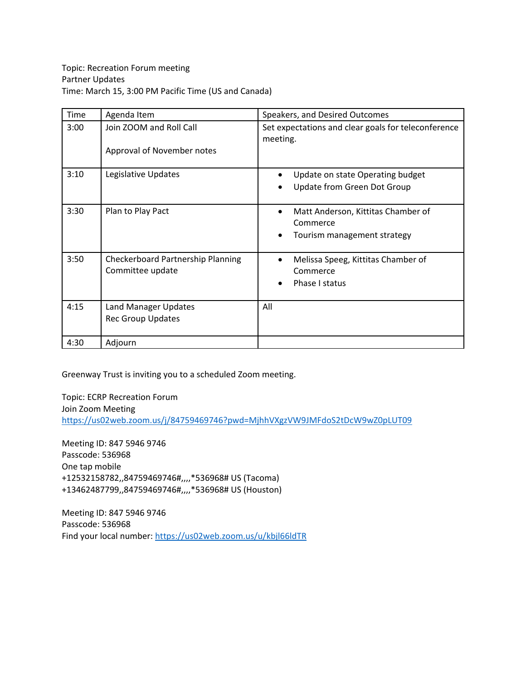| Time | Agenda Item                                             | Speakers, and Desired Outcomes                                                             |
|------|---------------------------------------------------------|--------------------------------------------------------------------------------------------|
| 3:00 | Join ZOOM and Roll Call<br>Approval of November notes   | Set expectations and clear goals for teleconference<br>meeting.                            |
| 3:10 | Legislative Updates                                     | Update on state Operating budget<br>$\bullet$<br>Update from Green Dot Group               |
| 3:30 | Plan to Play Pact                                       | Matt Anderson, Kittitas Chamber of<br>$\bullet$<br>Commerce<br>Tourism management strategy |
| 3:50 | Checkerboard Partnership Planning<br>Committee update   | Melissa Speeg, Kittitas Chamber of<br>$\bullet$<br>Commerce<br>Phase I status              |
| 4:15 | <b>Land Manager Updates</b><br><b>Rec Group Updates</b> | All                                                                                        |
| 4:30 | Adjourn                                                 |                                                                                            |

Greenway Trust is inviting you to a scheduled Zoom meeting.

Topic: ECRP Recreation Forum Join Zoom Meeting <https://us02web.zoom.us/j/84759469746?pwd=MjhhVXgzVW9JMFdoS2tDcW9wZ0pLUT09>

Meeting ID: 847 5946 9746 Passcode: 536968 One tap mobile +12532158782,,84759469746#,,,,\*536968# US (Tacoma) +13462487799,,84759469746#,,,,\*536968# US (Houston)

Meeting ID: 847 5946 9746 Passcode: 536968 Find your local number[: https://us02web.zoom.us/u/kbjl66ldTR](https://us02web.zoom.us/u/kbjl66ldTR)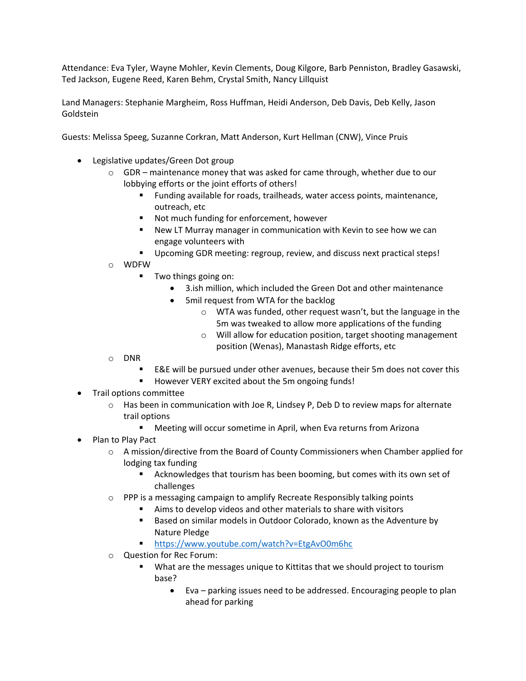Attendance: Eva Tyler, Wayne Mohler, Kevin Clements, Doug Kilgore, Barb Penniston, Bradley Gasawski, Ted Jackson, Eugene Reed, Karen Behm, Crystal Smith, Nancy Lillquist

Land Managers: Stephanie Margheim, Ross Huffman, Heidi Anderson, Deb Davis, Deb Kelly, Jason Goldstein

Guests: Melissa Speeg, Suzanne Corkran, Matt Anderson, Kurt Hellman (CNW), Vince Pruis

- Legislative updates/Green Dot group
	- $\circ$  GDR maintenance money that was asked for came through, whether due to our lobbying efforts or the joint efforts of others!
		- Funding available for roads, trailheads, water access points, maintenance, outreach, etc
		- Not much funding for enforcement, however
		- New LT Murray manager in communication with Kevin to see how we can engage volunteers with
		- Upcoming GDR meeting: regroup, review, and discuss next practical steps!
	- o WDFW
		- Two things going on:
			- 3.ish million, which included the Green Dot and other maintenance
			- 5mil request from WTA for the backlog
				- o WTA was funded, other request wasn't, but the language in the 5m was tweaked to allow more applications of the funding
				- o Will allow for education position, target shooting management position (Wenas), Manastash Ridge efforts, etc
	- o DNR
		- E&E will be pursued under other avenues, because their 5m does not cover this
		- However VERY excited about the 5m ongoing funds!
- Trail options committee
	- $\circ$  Has been in communication with Joe R, Lindsey P, Deb D to review maps for alternate trail options
		- Meeting will occur sometime in April, when Eva returns from Arizona
- Plan to Play Pact
	- $\circ$  A mission/directive from the Board of County Commissioners when Chamber applied for lodging tax funding
		- Acknowledges that tourism has been booming, but comes with its own set of challenges
	- $\circ$  PPP is a messaging campaign to amplify Recreate Responsibly talking points
		- Aims to develop videos and other materials to share with visitors
		- **Based on similar models in Outdoor Colorado, known as the Adventure by** Nature Pledge
		- <https://www.youtube.com/watch?v=EtgAvO0m6hc>
	- o Question for Rec Forum:
		- What are the messages unique to Kittitas that we should project to tourism base?
			- Eva parking issues need to be addressed. Encouraging people to plan ahead for parking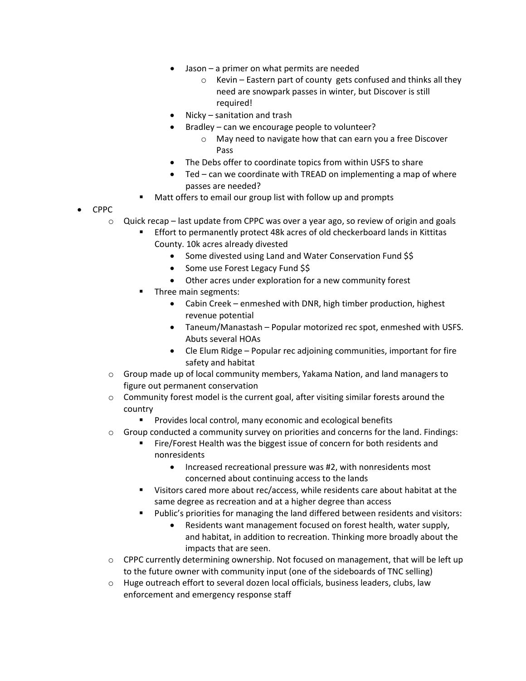- Jason a primer on what permits are needed
	- o Kevin Eastern part of county gets confused and thinks all they need are snowpark passes in winter, but Discover is still required!
- Nicky sanitation and trash
- Bradley can we encourage people to volunteer?
	- o May need to navigate how that can earn you a free Discover Pass
- The Debs offer to coordinate topics from within USFS to share
- Ted can we coordinate with TREAD on implementing a map of where passes are needed?
- Matt offers to email our group list with follow up and prompts
- CPPC
	- $\circ$  Quick recap last update from CPPC was over a year ago, so review of origin and goals
		- Effort to permanently protect 48k acres of old checkerboard lands in Kittitas County. 10k acres already divested
			- Some divested using Land and Water Conservation Fund \$\$
			- Some use Forest Legacy Fund \$\$
			- Other acres under exploration for a new community forest
		- Three main segments:
			- Cabin Creek enmeshed with DNR, high timber production, highest revenue potential
			- Taneum/Manastash Popular motorized rec spot, enmeshed with USFS. Abuts several HOAs
			- Cle Elum Ridge Popular rec adjoining communities, important for fire safety and habitat
	- $\circ$  Group made up of local community members, Yakama Nation, and land managers to figure out permanent conservation
	- o Community forest model is the current goal, after visiting similar forests around the country
		- **Provides local control, many economic and ecological benefits**
	- $\circ$  Group conducted a community survey on priorities and concerns for the land. Findings:
		- Fire/Forest Health was the biggest issue of concern for both residents and nonresidents
			- Increased recreational pressure was #2, with nonresidents most concerned about continuing access to the lands
		- Visitors cared more about rec/access, while residents care about habitat at the same degree as recreation and at a higher degree than access
		- Public's priorities for managing the land differed between residents and visitors:
			- Residents want management focused on forest health, water supply, and habitat, in addition to recreation. Thinking more broadly about the impacts that are seen.
	- $\circ$  CPPC currently determining ownership. Not focused on management, that will be left up to the future owner with community input (one of the sideboards of TNC selling)
	- o Huge outreach effort to several dozen local officials, business leaders, clubs, law enforcement and emergency response staff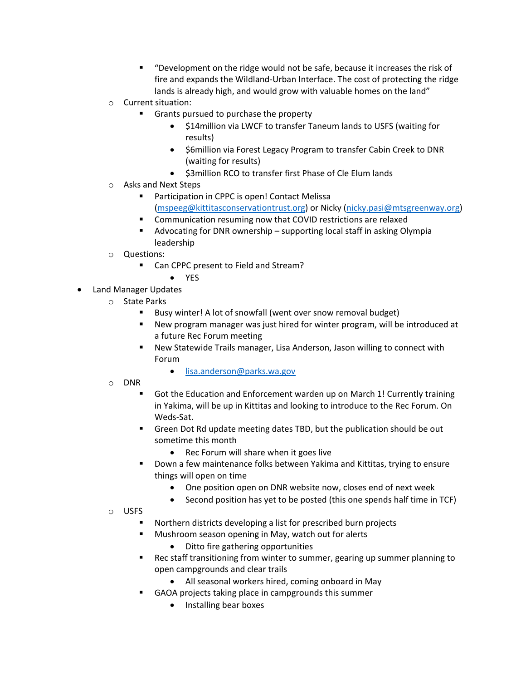- "Development on the ridge would not be safe, because it increases the risk of fire and expands the Wildland-Urban Interface. The cost of protecting the ridge lands is already high, and would grow with valuable homes on the land"
- o Current situation:
	- Grants pursued to purchase the property
		- \$14million via LWCF to transfer Taneum lands to USFS (waiting for results)
		- \$6million via Forest Legacy Program to transfer Cabin Creek to DNR (waiting for results)
		- \$3million RCO to transfer first Phase of Cle Elum lands
- o Asks and Next Steps
	- Participation in CPPC is open! Contact Melissa [\(mspeeg@kittitasconservationtrust.org\)](mailto:mspeeg@kittitasconservationtrust.org) or Nicky [\(nicky.pasi@mtsgreenway.org\)](mailto:nicky.pasi@mtsgreenway.org)
	- **EXECOMMUNICATE:** Communication resuming now that COVID restrictions are relaxed
	- Advocating for DNR ownership supporting local staff in asking Olympia leadership
- o Questions:
	- Can CPPC present to Field and Stream?
		- YES
- Land Manager Updates
	- o State Parks
		- Busy winter! A lot of snowfall (went over snow removal budget)
		- New program manager was just hired for winter program, will be introduced at a future Rec Forum meeting
		- New Statewide Trails manager, Lisa Anderson, Jason willing to connect with Forum
			- [lisa.anderson@parks.wa.gov](mailto:lisa.anderson@parks.wa.gov)
	- o DNR
		- Got the Education and Enforcement warden up on March 1! Currently training in Yakima, will be up in Kittitas and looking to introduce to the Rec Forum. On Weds-Sat.
		- Green Dot Rd update meeting dates TBD, but the publication should be out sometime this month
			- Rec Forum will share when it goes live
		- Down a few maintenance folks between Yakima and Kittitas, trying to ensure things will open on time
			- One position open on DNR website now, closes end of next week
			- Second position has yet to be posted (this one spends half time in TCF)
	- o USFS
		- Northern districts developing a list for prescribed burn projects
		- Mushroom season opening in May, watch out for alerts
			- Ditto fire gathering opportunities
		- Rec staff transitioning from winter to summer, gearing up summer planning to open campgrounds and clear trails
			- All seasonal workers hired, coming onboard in May
			- GAOA projects taking place in campgrounds this summer
				- Installing bear boxes